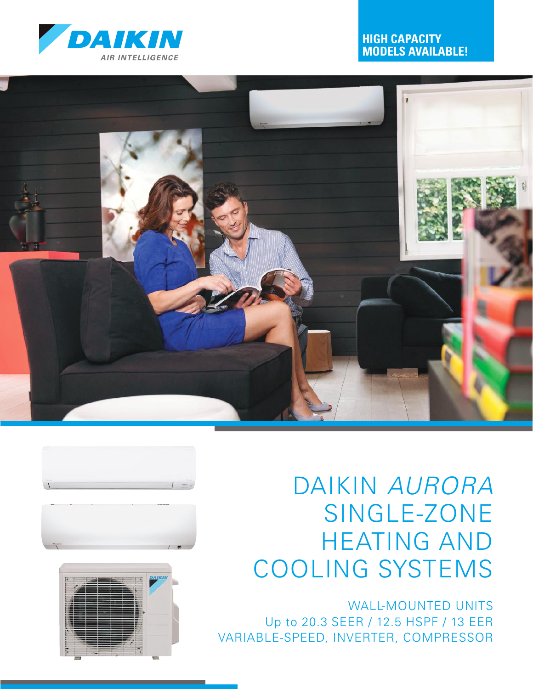

## **HIGH CAPACITY MODELS AVAILABLE!**









# DAIKIN *AURORA* SINGLE-ZONE HEATING AND COOLING SYSTEMS

WALL-MOUNTED UNITS Up to 20.3 SEER / 12.5 HSPF / 13 EER VARIABLE-SPEED, INVERTER, COMPRESSOR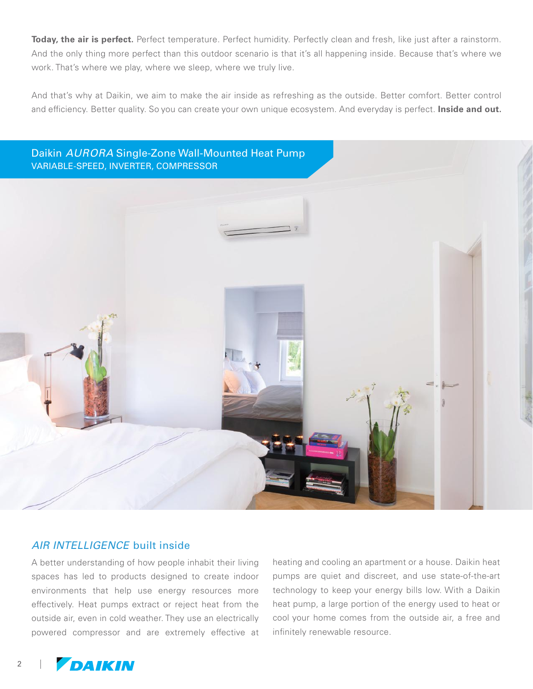Today, the air is perfect. Perfect temperature. Perfect humidity. Perfectly clean and fresh, like just after a rainstorm. And the only thing more perfect than this outdoor scenario is that it's all happening inside. Because that's where we work. That's where we play, where we sleep, where we truly live.

And that's why at Daikin, we aim to make the air inside as refreshing as the outside. Better comfort. Better control and efficiency. Better quality. So you can create your own unique ecosystem. And everyday is perfect. **Inside and out.**



#### *AIR INTELLIGENCE* built inside

A better understanding of how people inhabit their living spaces has led to products designed to create indoor environments that help use energy resources more effectively. Heat pumps extract or reject heat from the outside air, even in cold weather. They use an electrically powered compressor and are extremely effective at heating and cooling an apartment or a house. Daikin heat pumps are quiet and discreet, and use state-of-the-art technology to keep your energy bills low. With a Daikin heat pump, a large portion of the energy used to heat or cool your home comes from the outside air, a free and infinitely renewable resource.

2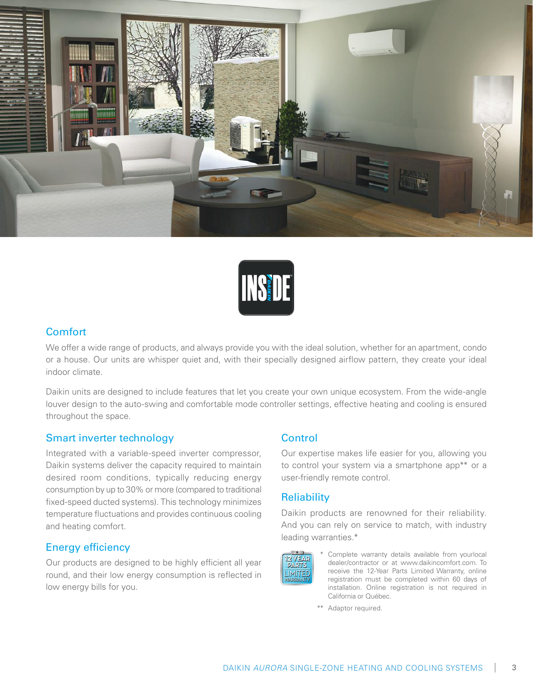



#### **Comfort**

We offer a wide range of products, and always provide you with the ideal solution, whether for an apartment, condo or a house. Our units are whisper quiet and, with their specially designed airflow pattern, they create your ideal indoor climate.

Daikin units are designed to include features that let you create your own unique ecosystem. From the wide-angle louver design to the auto-swing and comfortable mode controller settings, effective heating and cooling is ensured throughout the space.

#### Smart inverter technology

Integrated with a variable-speed inverter compressor, Daikin systems deliver the capacity required to maintain desired room conditions, typically reducing energy consumption by up to 30% or more (compared to traditional fixed-speed ducted systems). This technology minimizes temperature fluctuations and provides continuous cooling and heating comfort.

#### Energy efficiency

Our products are designed to be highly efficient all year round, and their low energy consumption is reflected in low energy bills for you.

#### **Control**

Our expertise makes life easier for you, allowing you to control your system via a smartphone app\*\* or a user-friendly remote control.

#### **Reliability**

Daikin products are renowned for their reliability. And you can rely on service to match, with industry leading warranties.\*



Complete warranty details available from yourlocal dealer/contractor or at www.daikincomfort.com. To receive the 12-Year Parts Limited Warranty, online registration must be completed within 60 days of installation. Online registration is not required in California or Québec.

\*\* Adaptor required.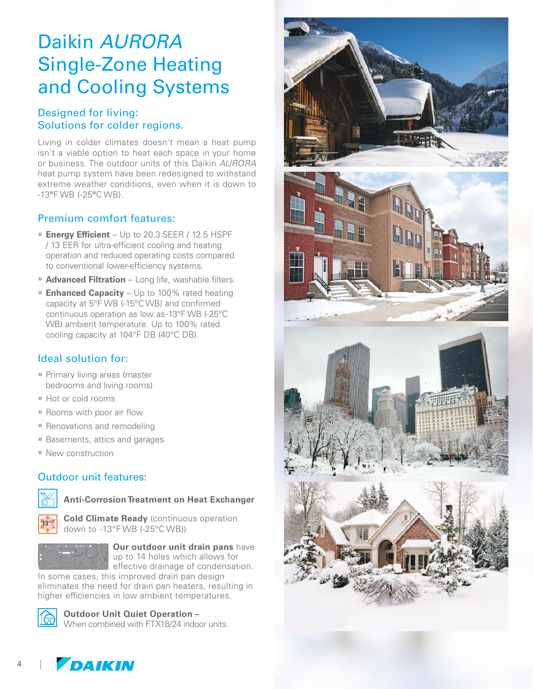## Daikin *AURORA* Single-Zone Heating and Cooling Systems

## Designed for living: Solutions for colder regions.

Living in colder climates doesn't mean a heat pump isn't a viable option to heat each space in your home or business. The outdoor units of this Daikin *AURORA* heat pump system have been redesigned to withstand extreme weather conditions, even when it is down to -13°F WB (-25°C WB).

#### Premium comfort features:

- » **Energy Efficient**  Up to 20.3 SEER / 12.5 HSPF / 13 EER for ultra-efficient cooling and heating operation and reduced operating costs compared to conventional lower-efficiency systems.
- » **Advanced Filtration**  Long life, washable filters.
- » **Enhanced Capacity**  Up to 100% rated heating capacity at 5°F WB (-15°C WB) and confirmed continuous operation as low as -13°F WB (-25°C WB) ambient temperature. Up to 100% rated cooling capacity at 104°F DB (40°C DB).

## Ideal solution for:

- » Primary living areas (master bedrooms and living rooms)
- » Hot or cold rooms
- » Rooms with poor air flow
- » Renovations and remodeling
- » Basements, attics and garages
- » New construction

## Outdoor unit features:



**Anti-Corrosion Treatment on Heat Exchanger**

**Cold Climate Ready** (continuous operation down to -13°F WB (-25°C WB))



**Our outdoor unit drain pans** have up to 14 holes which allows for effective drainage of condensation. In some cases, this improved drain pan design

eliminates the need for drain pan heaters, resulting in higher efficiencies in low ambient temperatures.



4

**Outdoor Unit Quiet Operation –**

When combined with FTX18/24 indoor units.

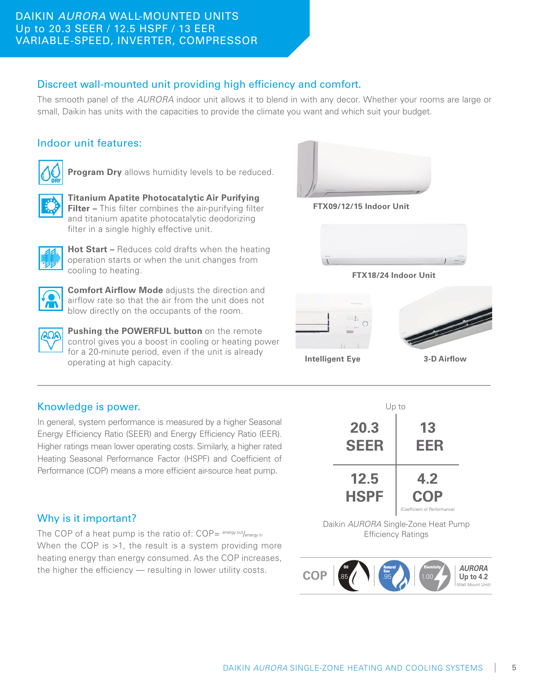#### DAIKIN *AURORA* WALL-MOUNTED UNITS Up to 20.3 SEER / 12.5 HSPF / 13 EER VARIABLE-SPEED, INVERTER, COMPRESSOR

## Discreet wall-mounted unit providing high efficiency and comfort.

The smooth panel of the *AURORA* indoor unit allows it to blend in with any decor. Whether your rooms are large or small, Daikin has units with the capacities to provide the climate you want and which suit your budget.

#### Indoor unit features:



**Program Dry** allows humidity levels to be reduced.



**Titanium Apatite Photocatalytic Air Purifying Filter –** This filter combines the air-purifying filter and titanium apatite photocatalytic deodorizing filter in a single highly effective unit.



**Hot Start –** Reduces cold drafts when the heating operation starts or when the unit changes from cooling to heating.



**Comfort Airflow Mode** adjusts the direction and airflow rate so that the air from the unit does not blow directly on the occupants of the room.



**Pushing the POWERFUL button** on the remote control gives you a boost in cooling or heating power for a 20-minute period, even if the unit is already operating at high capacity.



**FTX09/12/15 Indoor Unit**



**FTX18/24 Indoor Unit**



**Intelligent Eye**

**3-D Airflow**

## Knowledge is power.

In general, system performance is measured by a higher Seasonal Energy Efficiency Ratio (SEER) and Energy Efficiency Ratio (EER). Higher ratings mean lower operating costs. Similarly, a higher rated Heating Seasonal Performance Factor (HSPF) and Coefficient of Performance (COP) means a more efficient air-source heat pump.



Daikin *AURORA* Single-Zone Heat Pump Efficiency Ratings



## Why is it important?

The COP of a heat pump is the ratio of:  $COP = \frac{energy out}{energy in}$ When the COP is >1, the result is a system providing more heating energy than energy consumed. As the COP increases, the higher the efficiency — resulting in lower utility costs.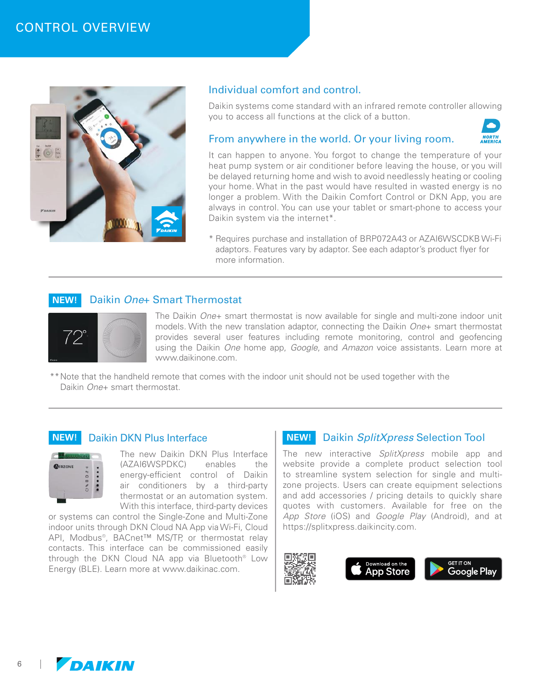

#### Individual comfort and control.

Daikin systems come standard with an infrared remote controller allowing you to access all functions at the click of a button.

#### From anywhere in the world. Or your living room.



It can happen to anyone. You forgot to change the temperature of your heat pump system or air conditioner before leaving the house, or you will be delayed returning home and wish to avoid needlessly heating or cooling your home. What in the past would have resulted in wasted energy is no longer a problem. With the Daikin Comfort Control or DKN App, you are always in control. You can use your tablet or smart-phone to access your Daikin system via the internet\*.

\* Requires purchase and installation of BRP072A43 or AZAI6WSCDKB Wi-Fi adaptors. Features vary by adaptor. See each adaptor's product flyer for more information.

#### **NEW!** Daikin *One+* Smart Thermostat



The Daikin *One*+ smart thermostat is now available for single and multi-zone indoor unit models. With the new translation adaptor, connecting the Daikin *One*+ smart thermostat provides several user features including remote monitoring, control and geofencing using the Daikin *One* home app, *Google*, and *Amazon* voice assistants. Learn more at www.daikinone.com.

\*\*Note that the handheld remote that comes with the indoor unit should not be used together with the Daikin *One*+ smart thermostat.

#### **NEW!** Daikin DKN Plus Interface



The new Daikin DKN Plus Interface (AZAI6WSPDKC) enables the energy-efficient control of Daikin air conditioners by a third-party thermostat or an automation system. With this interface, third-party devices

or systems can control the Single-Zone and Multi-Zone indoor units through DKN Cloud NA App via Wi-Fi, Cloud API, Modbus®, BACnet™ MS/TP, or thermostat relay contacts. This interface can be commissioned easily through the DKN Cloud NA app via Bluetooth® Low Energy (BLE). Learn more at www.daikinac.com.

#### **NEW!** Daikin *SplitXpress* Selection Tool

The new interactive *SplitXpress* mobile app and website provide a complete product selection tool to streamline system selection for single and multizone projects. Users can create equipment selections and add accessories / pricing details to quickly share quotes with customers. Available for free on the *App Store* (iOS) and *Google Play* (Android), and at https://splitxpress.daikincity.com.



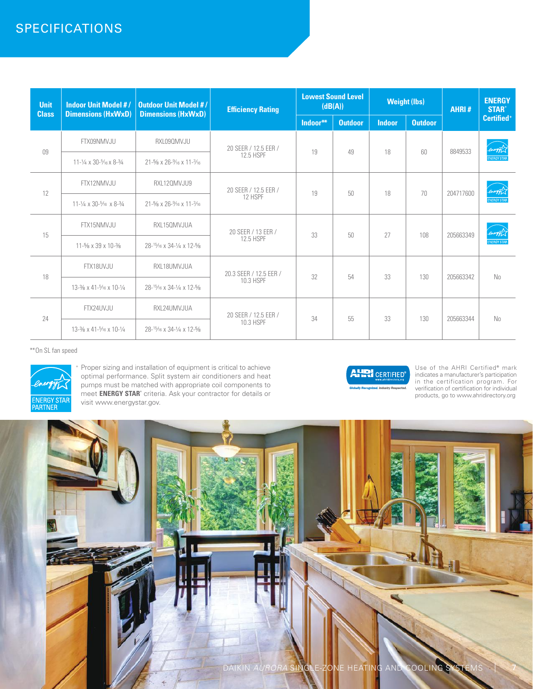## SPECIFICATIONS

| <b>Unit</b><br><b>Class</b> | <b>Indoor Unit Model #/</b><br><b>Dimensions (HxWxD)</b>           | <b>Outdoor Unit Model #/</b><br><b>Dimensions (HxWxD)</b> | <b>Efficiency Rating</b>                 | <b>Lowest Sound Level</b><br>(dB(A)) |                | <b>Weight (lbs)</b> |                | <b>AHRI#</b> | <b>ENERGY</b><br><b>STAR®</b>  |
|-----------------------------|--------------------------------------------------------------------|-----------------------------------------------------------|------------------------------------------|--------------------------------------|----------------|---------------------|----------------|--------------|--------------------------------|
|                             |                                                                    |                                                           |                                          | Indoor**                             | <b>Outdoor</b> | <b>Indoor</b>       | <b>Outdoor</b> |              | Certified <sup>+</sup>         |
| 09                          | FTX09NMVJU                                                         | RXL090MVJU                                                | 20 SEER / 12.5 EER /<br><b>12.5 HSPF</b> | 19                                   | 49             | 18                  | 60             | 8849533      | energy L<br><b>ENERGY STAP</b> |
|                             | 11-1/4 x 30-5/16 x 8-3/4                                           | 21-5/8 x 26-% x 11-3/16                                   |                                          |                                      |                |                     |                |              |                                |
| 12                          | FTX12NMVJU                                                         | RXL120MVJU9                                               | 20 SEER / 12.5 EER /<br>12 HSPF          | 19                                   | 50             | 18                  | 70             | 204717600    | energy L<br><b>ENERGY STAF</b> |
|                             | $11 - \frac{1}{4} \times 30 - \frac{5}{16} \times 8 - \frac{3}{4}$ | 21-5/8 x 26-% x 11-3/16                                   |                                          |                                      |                |                     |                |              |                                |
| 15                          | FTX15NMVJU                                                         | RXL150MVJUA                                               | 20 SEER / 13 EER /<br>12.5 HSPF          | 33                                   | 50             | 27                  | 108            | 205663349    | energy L<br><b>ENERGY STAP</b> |
|                             | 11-% x 39 x 10-%                                                   | 28- <sup>15</sup> /16 x 34-1/4 x 12-5/8                   |                                          |                                      |                |                     |                |              |                                |
| 18                          | FTX18UVJU                                                          | RXL18UMVJUA                                               | 20.3 SEER / 12.5 EER /<br>10.3 HSPF      | 32                                   | 54             | 33                  | 130            | 205663342    | No.                            |
|                             | 13-3/8 x 41-5/16 x 10-1/4                                          | 28-15/16 x 34-1/4 x 12-5/8                                |                                          |                                      |                |                     |                |              |                                |
| 24                          | FTX24UVJU                                                          | RXL24UMVJUA                                               | 20 SEER / 12.5 EER /<br>10.3 HSPF        | 34                                   | 55             | 33                  | 130            | 205663344    | No.                            |
|                             | 13-3/8 x 41-5/16 x 10-1/4                                          | 28- <sup>15</sup> /16 x 34-1/4 x 12-5/8                   |                                          |                                      |                |                     |                |              |                                |

\*\*On SL fan speed



<sup>+</sup> Proper sizing and installation of equipment is critical to achieve optimal performance. Split system air conditioners and heat pumps must be matched with appropriate coil components to meet **ENERGY STAR**<sup>®</sup> criteria. Ask your contractor for details or visit www.energystar.gov.



Use of the AHRI Certified**®** mark indicates a manufacturer's participation in the certification program. For verification of certification for individual products, go to www.ahridirectory.org